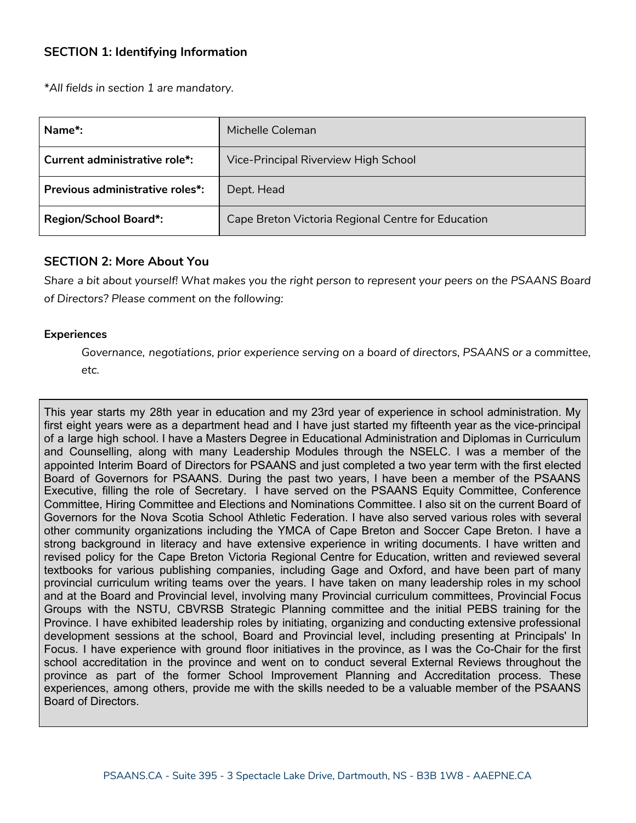# **SECTION 1: Identifying Information**

*\*All fields in section 1 are mandatory.*

| Name <sup>*</sup> :             | Michelle Coleman                                   |
|---------------------------------|----------------------------------------------------|
| Current administrative role*:   | Vice-Principal Riverview High School               |
| Previous administrative roles*: | Dept. Head                                         |
| <b>Region/School Board*:</b>    | Cape Breton Victoria Regional Centre for Education |

### **SECTION 2: More About You**

Share a bit about yourself! What makes you the right person to represent your peers on the PSAANS Board *of Directors? Please comment on the following:*

### **Experiences**

*Governance, negotiations, prior experience serving on a board of directors, PSAANS or a committee, etc.*

This year starts my 28th year in education and my 23rd year of experience in school administration. My first eight years were as a department head and I have just started my fifteenth year as the vice-principal of a large high school. I have a Masters Degree in Educational Administration and Diplomas in Curriculum and Counselling, along with many Leadership Modules through the NSELC. I was a member of the appointed Interim Board of Directors for PSAANS and just completed a two year term with the first elected Board of Governors for PSAANS. During the past two years, I have been a member of the PSAANS Executive, filling the role of Secretary. I have served on the PSAANS Equity Committee, Conference Committee, Hiring Committee and Elections and Nominations Committee. I also sit on the current Board of Governors for the Nova Scotia School Athletic Federation. I have also served various roles with several other community organizations including the YMCA of Cape Breton and Soccer Cape Breton. I have a strong background in literacy and have extensive experience in writing documents. I have written and revised policy for the Cape Breton Victoria Regional Centre for Education, written and reviewed several textbooks for various publishing companies, including Gage and Oxford, and have been part of many provincial curriculum writing teams over the years. I have taken on many leadership roles in my school and at the Board and Provincial level, involving many Provincial curriculum committees, Provincial Focus Groups with the NSTU, CBVRSB Strategic Planning committee and the initial PEBS training for the Province. I have exhibited leadership roles by initiating, organizing and conducting extensive professional development sessions at the school, Board and Provincial level, including presenting at Principals' In Focus. I have experience with ground floor initiatives in the province, as I was the Co-Chair for the first school accreditation in the province and went on to conduct several External Reviews throughout the province as part of the former School Improvement Planning and Accreditation process. These experiences, among others, provide me with the skills needed to be a valuable member of the PSAANS Board of Directors.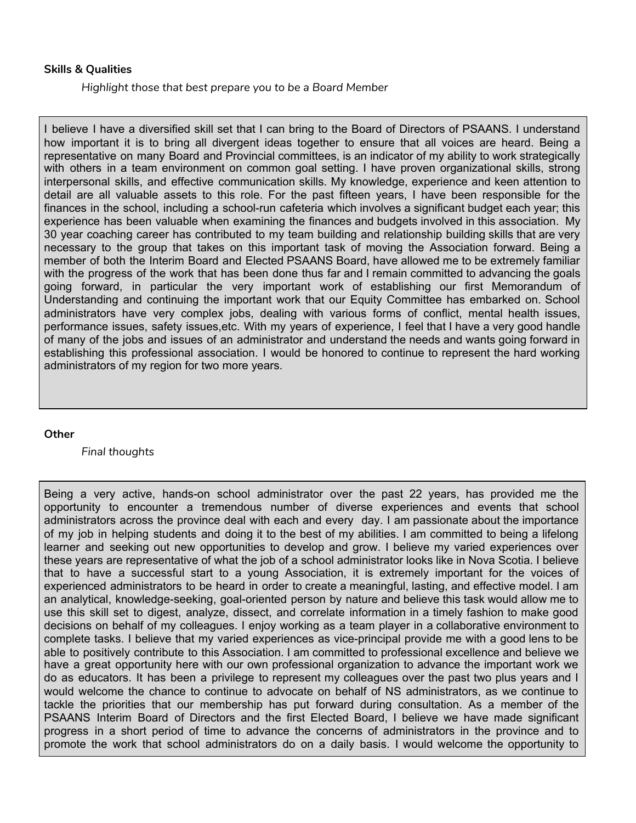#### **Skills & Qualities**

*Highlight those that best prepare you to be a Board Member*

I believe I have a diversified skill set that I can bring to the Board of Directors of PSAANS. I understand how important it is to bring all divergent ideas together to ensure that all voices are heard. Being a representative on many Board and Provincial committees, is an indicator of my ability to work strategically with others in a team environment on common goal setting. I have proven organizational skills, strong interpersonal skills, and effective communication skills. My knowledge, experience and keen attention to detail are all valuable assets to this role. For the past fifteen years, I have been responsible for the finances in the school, including a school-run cafeteria which involves a significant budget each year; this experience has been valuable when examining the finances and budgets involved in this association. My 30 year coaching career has contributed to my team building and relationship building skills that are very necessary to the group that takes on this important task of moving the Association forward. Being a member of both the Interim Board and Elected PSAANS Board, have allowed me to be extremely familiar with the progress of the work that has been done thus far and I remain committed to advancing the goals going forward, in particular the very important work of establishing our first Memorandum of Understanding and continuing the important work that our Equity Committee has embarked on. School administrators have very complex jobs, dealing with various forms of conflict, mental health issues, performance issues, safety issues,etc. With my years of experience, I feel that I have a very good handle of many of the jobs and issues of an administrator and understand the needs and wants going forward in establishing this professional association. I would be honored to continue to represent the hard working administrators of my region for two more years.

#### **Other**

*Final thoughts*

Being a very active, hands-on school administrator over the past 22 years, has provided me the opportunity to encounter a tremendous number of diverse experiences and events that school administrators across the province deal with each and every day. I am passionate about the importance of my job in helping students and doing it to the best of my abilities. I am committed to being a lifelong learner and seeking out new opportunities to develop and grow. I believe my varied experiences over these years are representative of what the job of a school administrator looks like in Nova Scotia. I believe that to have a successful start to a young Association, it is extremely important for the voices of experienced administrators to be heard in order to create a meaningful, lasting, and effective model. I am an analytical, knowledge-seeking, goal-oriented person by nature and believe this task would allow me to use this skill set to digest, analyze, dissect, and correlate information in a timely fashion to make good decisions on behalf of my colleagues. I enjoy working as a team player in a collaborative environment to complete tasks. I believe that my varied experiences as vice-principal provide me with a good lens to be able to positively contribute to this Association. I am committed to professional excellence and believe we have a great opportunity here with our own professional organization to advance the important work we do as educators. It has been a privilege to represent my colleagues over the past two plus years and I would welcome the chance to continue to advocate on behalf of NS administrators, as we continue to tackle the priorities that our membership has put forward during consultation. As a member of the PSAANS Interim Board of Directors and the first Elected Board, I believe we have made significant progress in a short period of time to advance the concerns of administrators in the province and to promote the work that school administrators do on a daily basis. I would welcome the opportunity to